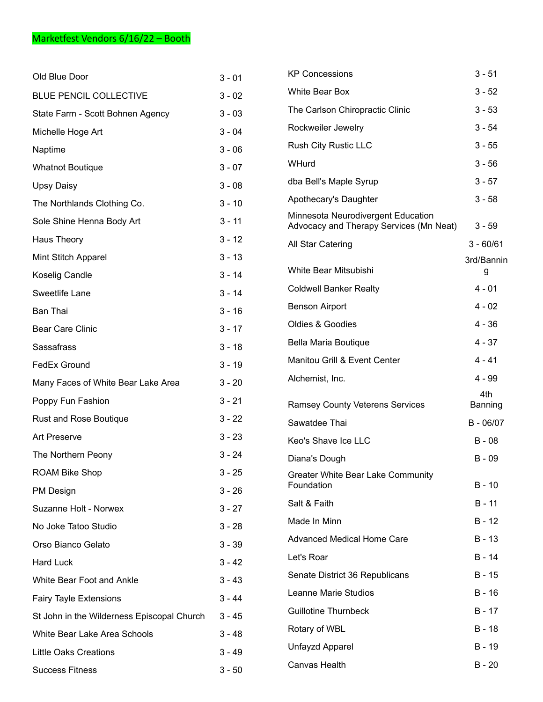| Old Blue Door                              | $3 - 01$ | <b>KP Concessions</b>                                                         | $3 - 51$       |
|--------------------------------------------|----------|-------------------------------------------------------------------------------|----------------|
| <b>BLUE PENCIL COLLECTIVE</b>              | $3 - 02$ | White Bear Box                                                                | $3 - 52$       |
| State Farm - Scott Bohnen Agency           | $3 - 03$ | The Carlson Chiropractic Clinic                                               | $3 - 53$       |
| Michelle Hoge Art                          | $3 - 04$ | Rockweiler Jewelry                                                            | $3 - 54$       |
| Naptime                                    | $3 - 06$ | Rush City Rustic LLC                                                          | $3 - 55$       |
| <b>Whatnot Boutique</b>                    | $3 - 07$ | WHurd                                                                         | $3 - 56$       |
| <b>Upsy Daisy</b>                          | $3 - 08$ | dba Bell's Maple Syrup                                                        | $3 - 57$       |
| The Northlands Clothing Co.                | $3 - 10$ | Apothecary's Daughter                                                         | $3 - 58$       |
| Sole Shine Henna Body Art                  | $3 - 11$ | Minnesota Neurodivergent Education<br>Advocacy and Therapy Services (Mn Neat) | $3 - 59$       |
| Haus Theory                                | $3 - 12$ | All Star Catering                                                             | $3 - 60/61$    |
| Mint Stitch Apparel                        | $3 - 13$ |                                                                               | 3rd/Bannin     |
| Koselig Candle                             | $3 - 14$ | White Bear Mitsubishi                                                         | g              |
| Sweetlife Lane                             | $3 - 14$ | <b>Coldwell Banker Realty</b>                                                 | $4 - 01$       |
| <b>Ban Thai</b>                            | $3 - 16$ | <b>Benson Airport</b>                                                         | $4 - 02$       |
| <b>Bear Care Clinic</b>                    | $3 - 17$ | Oldies & Goodies                                                              | $4 - 36$       |
| Sassafrass                                 | $3 - 18$ | Bella Maria Boutique                                                          | $4 - 37$       |
| FedEx Ground                               | $3 - 19$ | Manitou Grill & Event Center                                                  | $4 - 41$       |
| Many Faces of White Bear Lake Area         | $3 - 20$ | Alchemist, Inc.                                                               | $4 - 99$       |
| Poppy Fun Fashion                          | $3 - 21$ | <b>Ramsey County Veterens Services</b>                                        | 4th<br>Banning |
| Rust and Rose Boutique                     | $3 - 22$ | Sawatdee Thai                                                                 | $B - 06/07$    |
| <b>Art Preserve</b>                        | $3 - 23$ | Keo's Shave Ice LLC                                                           | $B - 08$       |
| The Northern Peony                         | $3 - 24$ | Diana's Dough                                                                 | $B - 09$       |
| <b>ROAM Bike Shop</b>                      | $3 - 25$ | Greater White Bear Lake Community                                             |                |
| PM Design                                  | $3 - 26$ | Foundation                                                                    | $B - 10$       |
| Suzanne Holt - Norwex                      | $3 - 27$ | Salt & Faith                                                                  | $B - 11$       |
| No Joke Tatoo Studio                       | $3 - 28$ | Made In Minn                                                                  | $B - 12$       |
| Orso Bianco Gelato                         | $3 - 39$ | <b>Advanced Medical Home Care</b>                                             | $B - 13$       |
| Hard Luck                                  | $3 - 42$ | Let's Roar                                                                    | B - 14         |
| White Bear Foot and Ankle                  | $3 - 43$ | Senate District 36 Republicans                                                | $B - 15$       |
| <b>Fairy Tayle Extensions</b>              | $3 - 44$ | Leanne Marie Studios                                                          | $B - 16$       |
| St John in the Wilderness Episcopal Church | $3 - 45$ | <b>Guillotine Thurnbeck</b>                                                   | $B - 17$       |
| White Bear Lake Area Schools               | $3 - 48$ | Rotary of WBL                                                                 | $B - 18$       |
| <b>Little Oaks Creations</b>               | $3 - 49$ | Unfayzd Apparel                                                               | B - 19         |
| <b>Success Fitness</b>                     | $3 - 50$ | Canvas Health                                                                 | $B - 20$       |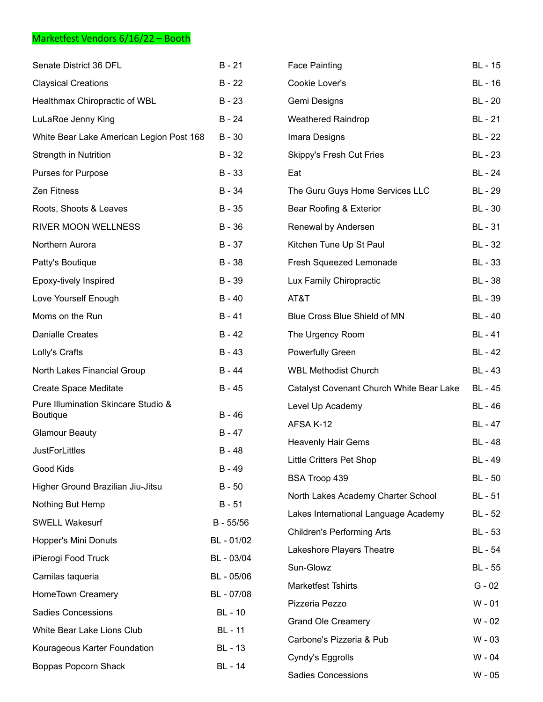## Marketfest Vendors 6/16/22 – Booth

| Senate District 36 DFL                                 | $B - 21$       | <b>Face Painting</b>                     | <b>BL</b> - 15 |
|--------------------------------------------------------|----------------|------------------------------------------|----------------|
| <b>Claysical Creations</b>                             | $B - 22$       | Cookie Lover's                           | <b>BL</b> - 16 |
| Healthmax Chiropractic of WBL                          | $B - 23$       | Gemi Designs                             | <b>BL</b> - 20 |
| LuLaRoe Jenny King                                     | $B - 24$       | <b>Weathered Raindrop</b>                | BL - 21        |
| White Bear Lake American Legion Post 168               | $B - 30$       | Imara Designs                            | BL - 22        |
| <b>Strength in Nutrition</b>                           | $B - 32$       | Skippy's Fresh Cut Fries                 | <b>BL</b> - 23 |
| Purses for Purpose                                     | $B - 33$       | Eat                                      | <b>BL</b> - 24 |
| Zen Fitness                                            | B - 34         | The Guru Guys Home Services LLC          | <b>BL</b> - 29 |
| Roots, Shoots & Leaves                                 | $B - 35$       | Bear Roofing & Exterior                  | <b>BL</b> - 30 |
| RIVER MOON WELLNESS                                    | $B - 36$       | Renewal by Andersen                      | BL - 31        |
| Northern Aurora                                        | $B - 37$       | Kitchen Tune Up St Paul                  | BL - 32        |
| Patty's Boutique                                       | $B - 38$       | Fresh Squeezed Lemonade                  | BL - 33        |
| Epoxy-tively Inspired                                  | B - 39         | Lux Family Chiropractic                  | BL - 38        |
| Love Yourself Enough                                   | $B - 40$       | AT&T                                     | <b>BL</b> - 39 |
| Moms on the Run                                        | $B - 41$       | Blue Cross Blue Shield of MN             | <b>BL</b> - 40 |
| <b>Danialle Creates</b>                                | $B - 42$       | The Urgency Room                         | <b>BL</b> - 41 |
| Lolly's Crafts                                         | $B - 43$       | <b>Powerfully Green</b>                  | <b>BL</b> - 42 |
| North Lakes Financial Group                            | $B - 44$       | <b>WBL Methodist Church</b>              | <b>BL</b> - 43 |
| <b>Create Space Meditate</b>                           | $B - 45$       | Catalyst Covenant Church White Bear Lake | <b>BL</b> - 45 |
| Pure Illumination Skincare Studio &<br><b>Boutique</b> | $B - 46$       | Level Up Academy                         | <b>BL</b> - 46 |
| <b>Glamour Beauty</b>                                  | $B - 47$       | AFSA K-12                                | <b>BL</b> - 47 |
| <b>JustForLittles</b>                                  | $B - 48$       | <b>Heavenly Hair Gems</b>                | <b>BL</b> - 48 |
| Good Kids                                              | $B - 49$       | <b>Little Critters Pet Shop</b>          | <b>BL</b> - 49 |
| Higher Ground Brazilian Jiu-Jitsu                      | $B - 50$       | BSA Troop 439                            | <b>BL</b> - 50 |
| Nothing But Hemp                                       | $B - 51$       | North Lakes Academy Charter School       | BL - 51        |
| <b>SWELL Wakesurf</b>                                  | B - 55/56      | Lakes International Language Academy     | BL - 52        |
| Hopper's Mini Donuts                                   | BL - 01/02     | <b>Children's Performing Arts</b>        | BL - 53        |
| iPierogi Food Truck                                    | BL - 03/04     | Lakeshore Players Theatre                | BL - 54        |
| Camilas taqueria                                       | BL - 05/06     | Sun-Glowz                                | <b>BL</b> - 55 |
| HomeTown Creamery                                      | BL - 07/08     | <b>Marketfest Tshirts</b>                | $G - 02$       |
| <b>Sadies Concessions</b>                              | BL - 10        | Pizzeria Pezzo                           | $W - 01$       |
| White Bear Lake Lions Club                             | <b>BL</b> - 11 | <b>Grand Ole Creamery</b>                | W - 02         |
| Kourageous Karter Foundation                           | BL - 13        | Carbone's Pizzeria & Pub                 | $W - 03$       |
|                                                        |                | Cyndy's Eggrolls                         | W - 04         |
| Boppas Popcorn Shack                                   | BL - 14        | <b>Sadies Concessions</b>                | W - 05         |